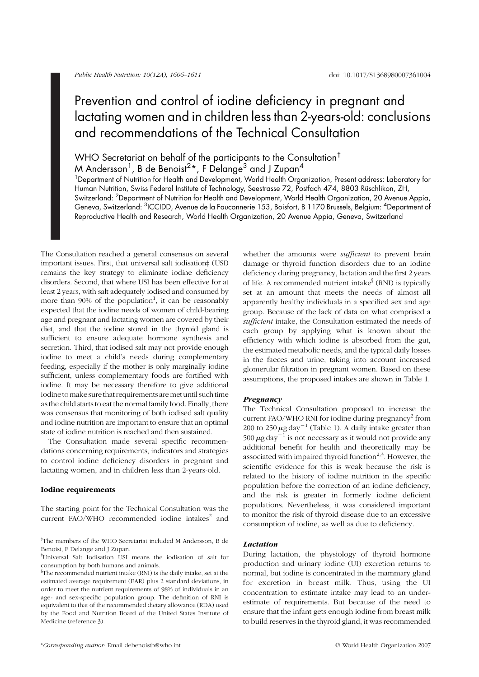# Prevention and control of iodine deficiency in pregnant and lactating women and in children less than 2-years-old: conclusions and recommendations of the Technical Consultation

# WHO Secretariat on behalf of the participants to the Consultation<sup>†</sup>

M Andersson $^{\text{1}}$ , B de Benoist $^{2\,\star}$ , F Delange $^{\text{3}}$  and J Zupan $^{\text{4}}$ 

<sup>1</sup>Department of Nutrition for Health and Development, World Health Organization, Present address: Laboratory for Human Nutrition, Swiss Federal Institute of Technology, Seestrasse 72, Postfach 474, 8803 Rüschlikon, ZH, Switzerland: <sup>2</sup>Department of Nutrition for Health and Development, World Health Organization, 20 Avenue Appia, Geneva, Switzerland: <sup>3</sup>ICCIDD, Avenue de la Fauconnerie 153, Boisfort, B 1170 Brussels, Belgium: <sup>4</sup>Department of Reproductive Health and Research, World Health Organization, 20 Avenue Appia, Geneva, Switzerland

The Consultation reached a general consensus on several important issues. First, that universal salt iodisation‡ (USI) remains the key strategy to eliminate iodine deficiency disorders. Second, that where USI has been effective for at least 2years, with salt adequately iodised and consumed by more than 90% of the population<sup>1</sup>, it can be reasonably expected that the iodine needs of women of child-bearing age and pregnant and lactating women are covered by their diet, and that the iodine stored in the thyroid gland is sufficient to ensure adequate hormone synthesis and secretion. Third, that iodised salt may not provide enough iodine to meet a child's needs during complementary feeding, especially if the mother is only marginally iodine sufficient, unless complementary foods are fortified with iodine. It may be necessary therefore to give additional iodine to make sure that requirements are met until such time as the child starts to eat the normal family food. Finally, there was consensus that monitoring of both iodised salt quality and iodine nutrition are important to ensure that an optimal state of iodine nutrition is reached and then sustained.

The Consultation made several specific recommendations concerning requirements, indicators and strategies to control iodine deficiency disorders in pregnant and lactating women, and in children less than 2-years-old.

#### Iodine requirements

The starting point for the Technical Consultation was the current FAO/WHO recommended iodine intakes $2$  and whether the amounts were *sufficient* to prevent brain damage or thyroid function disorders due to an iodine deficiency during pregnancy, lactation and the first 2 years of life. A recommended nutrient intake $\frac{1}{2}$  (RNI) is typically set at an amount that meets the needs of almost all apparently healthy individuals in a specified sex and age group. Because of the lack of data on what comprised a sufficient intake, the Consultation estimated the needs of each group by applying what is known about the efficiency with which iodine is absorbed from the gut, the estimated metabolic needs, and the typical daily losses in the faeces and urine, taking into account increased glomerular filtration in pregnant women. Based on these assumptions, the proposed intakes are shown in Table 1.

#### Pregnancy

The Technical Consultation proposed to increase the current FAO/WHO RNI for iodine during pregnancy<sup>2</sup> from 200 to 250  $\mu$ g day<sup>-1</sup> (Table 1). A daily intake greater than 500  $\mu$ g day<sup>-1</sup> is not necessary as it would not provide any additional benefit for health and theoretically may be associated with impaired thyroid function<sup>2,3</sup>. However, the scientific evidence for this is weak because the risk is related to the history of iodine nutrition in the specific population before the correction of an iodine deficiency, and the risk is greater in formerly iodine deficient populations. Nevertheless, it was considered important to monitor the risk of thyroid disease due to an excessive consumption of iodine, as well as due to deficiency.

#### Lactation

During lactation, the physiology of thyroid hormone production and urinary iodine (UI) excretion returns to normal, but iodine is concentrated in the mammary gland for excretion in breast milk. Thus, using the UI concentration to estimate intake may lead to an underestimate of requirements. But because of the need to ensure that the infant gets enough iodine from breast milk to build reserves in the thyroid gland, it was recommended

<sup>†</sup> The members of the WHO Secretariat included M Andersson, B de Benoist, F Delange and J Zupan.

<sup>‡</sup> Universal Salt Iodisation USI means the iodisation of salt for consumption by both humans and animals.

<sup>§</sup> The recommended nutrient intake (RNI) is the daily intake, set at the estimated average requirement (EAR) plus 2 standard deviations, in order to meet the nutrient requirements of 98% of individuals in an age- and sex-specific population group. The definition of RNI is equivalent to that of the recommended dietary allowance (RDA) used by the Food and Nutrition Board of the United States Institute of Medicine (reference 3).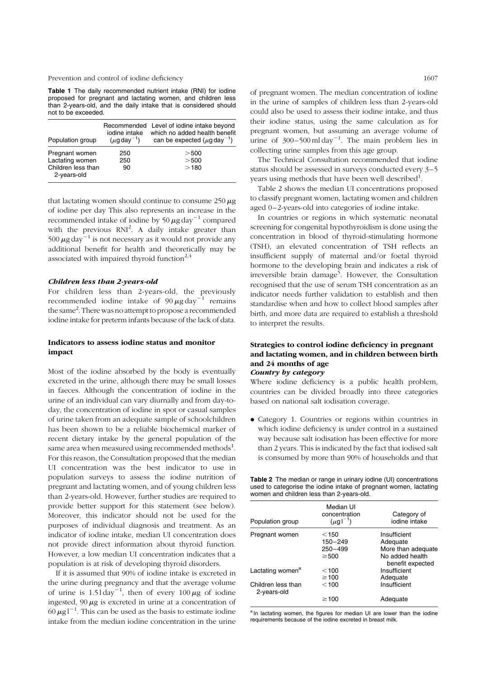Prevention and control of iodine deficiency 1607

Table 1 The daily recommended nutrient intake (RNI) for iodine proposed for pregnant and lactating women, and children less than 2-years-old, and the daily intake that is considered should not to be exceeded.

| Population group                                                       | iodine intake<br>$(\mu q \, \text{day}^{-1})$ | Recommended Level of iodine intake beyond<br>which no added health benefit<br>can be expected $(\mu q \, \text{day}^{-1})$ |
|------------------------------------------------------------------------|-----------------------------------------------|----------------------------------------------------------------------------------------------------------------------------|
| Pregnant women<br>Lactating women<br>Children less than<br>2-years-old | 250<br>250<br>90                              | $>$ 500<br>> 500<br>>180                                                                                                   |

that lactating women should continue to consume  $250 \mu g$ of iodine per day This also represents an increase in the recommended intake of iodine by  $50 \mu g day^{-1}$  compared with the previous  $RNI^2$ . A daily intake greater than 500  $\mu$ g day<sup>-1</sup> is not necessary as it would not provide any additional benefit for health and theoretically may be associated with impaired thyroid function $2,4$ 

#### Children less than 2-years-old

For children less than 2-years-old, the previously recommended iodine intake of  $90 \mu\text{g day}^{-1}$  remains the same<sup>2</sup>. There was no attempt to propose a recommended iodine intake for preterm infants because of the lack of data.

#### Indicators to assess iodine status and monitor impact

Most of the iodine absorbed by the body is eventually excreted in the urine, although there may be small losses in faeces. Although the concentration of iodine in the urine of an individual can vary diurnally and from day-today, the concentration of iodine in spot or casual samples of urine taken from an adequate sample of schoolchildren has been shown to be a reliable biochemical marker of recent dietary intake by the general population of the same area when measured using recommended methods<sup>1</sup>. For this reason, the Consultation proposed that the median UI concentration was the best indicator to use in population surveys to assess the iodine nutrition of pregnant and lactating women, and of young children less than 2-years-old. However, further studies are required to provide better support for this statement (see below). Moreover, this indicator should not be used for the purposes of individual diagnosis and treatment. As an indicator of iodine intake, median UI concentration does not provide direct information about thyroid function. However, a low median UI concentration indicates that a population is at risk of developing thyroid disorders.

If it is assumed that 90% of iodine intake is excreted in the urine during pregnancy and that the average volume of urine is  $1.51 \text{day}^{-1}$ , then of every  $100 \mu\text{g}$  of iodine ingested,  $90 \mu$ g is excreted in urine at a concentration of  $60 \mu g l^{-1}$ . This can be used as the basis to estimate iodine intake from the median iodine concentration in the urine

of pregnant women. The median concentration of iodine in the urine of samples of children less than 2-years-old could also be used to assess their iodine intake, and thus their iodine status, using the same calculation as for pregnant women, but assuming an average volume of urine of  $300-500$  ml day<sup>-1</sup>. The main problem lies in collecting urine samples from this age group.

The Technical Consultation recommended that iodine status should be assessed in surveys conducted every 3–5 years using methods that have been well described $^1$ .

Table 2 shows the median UI concentrations proposed to classify pregnant women, lactating women and children aged 0–2-years-old into categories of iodine intake.

In countries or regions in which systematic neonatal screening for congenital hypothyroidism is done using the concentration in blood of thyroid-stimulating hormone (TSH), an elevated concentration of TSH reflects an insufficient supply of maternal and/or foetal thyroid hormone to the developing brain and indicates a risk of irreversible brain damage<sup>5</sup>. However, the Consultation recognised that the use of serum TSH concentration as an indicator needs further validation to establish and then standardise when and how to collect blood samples after birth, and more data are required to establish a threshold to interpret the results.

# Strategies to control iodine deficiency in pregnant and lactating women, and in children between birth and 24 months of age

# Country by category

Where iodine deficiency is a public health problem, countries can be divided broadly into three categories based on national salt iodisation coverage.

. Category 1. Countries or regions within countries in which iodine deficiency is under control in a sustained way because salt iodisation has been effective for more than 2 years. This is indicated by the fact that iodised salt is consumed by more than 90% of households and that

Table 2 The median or range in urinary iodine (UI) concentrations used to categorise the iodine intake of pregnant women, lactating women and children less than 2-years-old.

| Population group                  | Median UI<br>concentration<br>$(\mu g I^{-1})$      | Category of<br>iodine intake                                                          |
|-----------------------------------|-----------------------------------------------------|---------------------------------------------------------------------------------------|
| Pregnant women                    | $<$ 150<br>$150 - 249$<br>$250 - 499$<br>$\geq$ 500 | Insufficient<br>Adequate<br>More than adequate<br>No added health<br>benefit expected |
| Lactating women <sup>a</sup>      | $<$ 100<br>$\geq 100$                               | Insufficient<br>Adequate                                                              |
| Children less than<br>2-years-old | $<$ 100<br>$\geq 100$                               | Insufficient<br>Adequate                                                              |

<sup>a</sup> In lactating women, the figures for median UI are lower than the iodine requirements because of the iodine excreted in breast milk.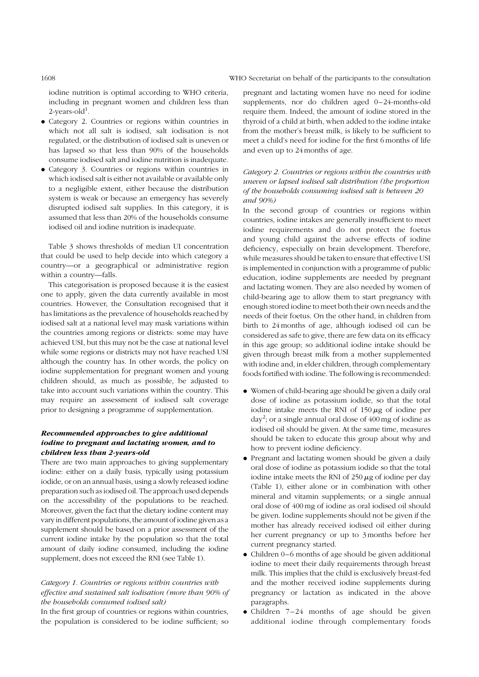### 1608 WHO Secretariat on behalf of the participants to the consultation

iodine nutrition is optimal according to WHO criteria, including in pregnant women and children less than  $2$ -years-old $^1$ .

- . Category 2. Countries or regions within countries in which not all salt is iodised, salt iodisation is not regulated, or the distribution of iodised salt is uneven or has lapsed so that less than 90% of the households consume iodised salt and iodine nutrition is inadequate.
- . Category 3. Countries or regions within countries in which iodised salt is either not available or available only to a negligible extent, either because the distribution system is weak or because an emergency has severely disrupted iodised salt supplies. In this category, it is assumed that less than 20% of the households consume iodised oil and iodine nutrition is inadequate.

Table 3 shows thresholds of median UI concentration that could be used to help decide into which category a country—or a geographical or administrative region within a country—falls.

This categorisation is proposed because it is the easiest one to apply, given the data currently available in most countries. However, the Consultation recognised that it has limitations as the prevalence of households reached by iodised salt at a national level may mask variations within the countries among regions or districts: some may have achieved USI, but this may not be the case at national level while some regions or districts may not have reached USI although the country has. In other words, the policy on iodine supplementation for pregnant women and young children should, as much as possible, be adjusted to take into account such variations within the country. This may require an assessment of iodised salt coverage prior to designing a programme of supplementation.

## Recommended approaches to give additional iodine to pregnant and lactating women, and to children less than 2-years-old

There are two main approaches to giving supplementary iodine: either on a daily basis, typically using potassium iodide, or on an annual basis, using a slowly released iodine preparation such as iodised oil. The approach used depends on the accessibility of the populations to be reached. Moreover, given the fact that the dietary iodine content may vary in different populations, the amount of iodine given as a supplement should be based on a prior assessment of the current iodine intake by the population so that the total amount of daily iodine consumed, including the iodine supplement, does not exceed the RNI (see Table 1).

### Category 1. Countries or regions within countries with effective and sustained salt iodisation (more than 90% of the households consumed iodised salt)

In the first group of countries or regions within countries, the population is considered to be iodine sufficient; so pregnant and lactating women have no need for iodine supplements, nor do children aged 0–24-months-old require them. Indeed, the amount of iodine stored in the thyroid of a child at birth, when added to the iodine intake from the mother's breast milk, is likely to be sufficient to meet a child's need for iodine for the first 6 months of life and even up to 24 months of age.

# Category 2. Countries or regions within the countries with uneven or lapsed iodised salt distribution (the proportion of the households consuming iodised salt is between 20 and 90%)

In the second group of countries or regions within countries, iodine intakes are generally insufficient to meet iodine requirements and do not protect the foetus and young child against the adverse effects of iodine deficiency, especially on brain development. Therefore, while measures should be taken to ensure that effective USI is implemented in conjunction with a programme of public education, iodine supplements are needed by pregnant and lactating women. They are also needed by women of child-bearing age to allow them to start pregnancy with enough stored iodine to meet both their own needs and the needs of their foetus. On the other hand, in children from birth to 24 months of age, although iodised oil can be considered as safe to give, there are few data on its efficacy in this age group; so additional iodine intake should be given through breast milk from a mother supplemented with iodine and, in elder children, through complementary foods fortified with iodine. The following is recommended:

- . Women of child-bearing age should be given a daily oral dose of iodine as potassium iodide, so that the total iodine intake meets the RNI of  $150 \mu$ g of iodine per  $day^2$ ; or a single annual oral dose of  $400 \,\text{mg}$  of iodine as iodised oil should be given. At the same time, measures should be taken to educate this group about why and how to prevent iodine deficiency.
- . Pregnant and lactating women should be given a daily oral dose of iodine as potassium iodide so that the total iodine intake meets the RNI of  $250 \mu$ g of iodine per day (Table 1), either alone or in combination with other mineral and vitamin supplements; or a single annual oral dose of 400 mg of iodine as oral iodised oil should be given. Iodine supplements should not be given if the mother has already received iodised oil either during her current pregnancy or up to 3 months before her current pregnancy started.
- . Children 0–6 months of age should be given additional iodine to meet their daily requirements through breast milk. This implies that the child is exclusively breast-fed and the mother received iodine supplements during pregnancy or lactation as indicated in the above paragraphs.
- . Children 7–24 months of age should be given additional iodine through complementary foods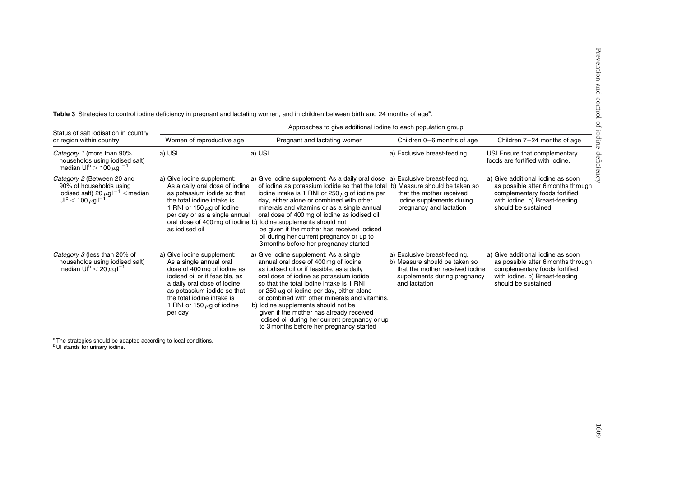| Status of salt iodisation in country<br>or region within country                                                                                            | Approaches to give additional iodine to each population group                                                                                                                                                                                                   |                                                                                                                                                                                                                                                                                                                                                                                                                                                                                                              |                                                                                                                                                   |                                                                                                                                                                   |  |
|-------------------------------------------------------------------------------------------------------------------------------------------------------------|-----------------------------------------------------------------------------------------------------------------------------------------------------------------------------------------------------------------------------------------------------------------|--------------------------------------------------------------------------------------------------------------------------------------------------------------------------------------------------------------------------------------------------------------------------------------------------------------------------------------------------------------------------------------------------------------------------------------------------------------------------------------------------------------|---------------------------------------------------------------------------------------------------------------------------------------------------|-------------------------------------------------------------------------------------------------------------------------------------------------------------------|--|
|                                                                                                                                                             | Women of reproductive age                                                                                                                                                                                                                                       | Pregnant and lactating women                                                                                                                                                                                                                                                                                                                                                                                                                                                                                 | Children 0-6 months of age                                                                                                                        | Children 7-24 months of age                                                                                                                                       |  |
| Category 1 (more than 90%<br>households using iodised salt)<br>median $UI^{b}$ > 100 $\mu$ g l <sup>-1</sup>                                                | a) USI                                                                                                                                                                                                                                                          | a) USI                                                                                                                                                                                                                                                                                                                                                                                                                                                                                                       | a) Exclusive breast-feeding.                                                                                                                      | USI Ensure that complementary<br>foods are fortified with jodine.                                                                                                 |  |
| Category 2 (Between 20 and<br>90% of households using<br>iodised salt) 20 $\mu$ g l <sup>-1</sup> < median<br>UI <sup>b</sup> < 100 $\mu$ g l <sup>-1</sup> | a) Give iodine supplement:<br>As a daily oral dose of iodine<br>as potassium iodide so that<br>the total jodine intake is<br>1 RNI or 150 $\mu$ g of iodine<br>per day or as a single annual<br>as iodised oil                                                  | a) Give iodine supplement: As a daily oral dose<br>of iodine as potassium iodide so that the total<br>iodine intake is 1 RNI or 250 $\mu$ g of iodine per<br>day, either alone or combined with other<br>minerals and vitamins or as a single annual<br>oral dose of 400 mg of iodine as iodised oil.<br>oral dose of 400 mg of iodine b) lodine supplements should not<br>be given if the mother has received iodised<br>oil during her current pregnancy or up to<br>3 months before her pregnancy started | a) Exclusive breast-feeding.<br>b) Measure should be taken so<br>that the mother received<br>iodine supplements during<br>pregnancy and lactation | a) Give additional iodine as soon<br>as possible after 6 months through<br>complementary foods fortified<br>with iodine. b) Breast-feeding<br>should be sustained |  |
| Category 3 (less than 20% of<br>households using iodised salt)<br>median $UI^{b} < 20 \mu g I^{-1}$                                                         | a) Give iodine supplement:<br>As a single annual oral<br>dose of 400 mg of iodine as<br>iodised oil or if feasible, as<br>a daily oral dose of iodine<br>as potassium iodide so that<br>the total jodine intake is<br>1 RNI or 150 $\mu$ g of iodine<br>per day | a) Give iodine supplement: As a single<br>annual oral dose of 400 mg of iodine<br>as iodised oil or if feasible, as a daily<br>oral dose of iodine as potassium iodide<br>so that the total jodine intake is 1 RNI<br>or 250 $\mu$ g of iodine per day, either alone<br>or combined with other minerals and vitamins.<br>b) lodine supplements should not be<br>given if the mother has already received<br>iodised oil during her current pregnancy or up<br>to 3 months before her pregnancy started       | a) Exclusive breast-feeding.<br>b) Measure should be taken so<br>that the mother received jodine<br>supplements during pregnancy<br>and lactation | a) Give additional iodine as soon<br>as possible after 6 months through<br>complementary foods fortified<br>with iodine. b) Breast-feeding<br>should be sustained |  |

Table 3 Strategies to control iodine deficiency in pregnant and lactating women, and in children between birth and 24 months of age<sup>a</sup>.

<sup>a</sup> The strategies should be adapted according to local conditions.<br><sup>b</sup> UI stands for urinary iodine.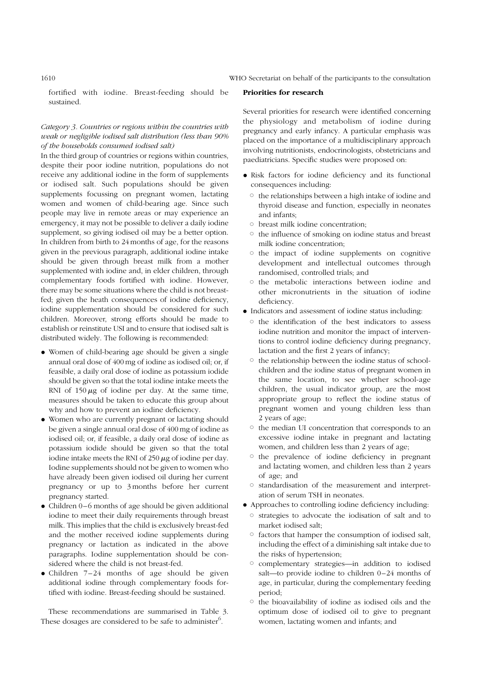1610 WHO Secretariat on behalf of the participants to the consultation

fortified with iodine. Breast-feeding should be sustained.

# Category 3. Countries or regions within the countries with weak or negligible iodised salt distribution (less than 90% of the households consumed iodised salt)

In the third group of countries or regions within countries, despite their poor iodine nutrition, populations do not receive any additional iodine in the form of supplements or iodised salt. Such populations should be given supplements focussing on pregnant women, lactating women and women of child-bearing age. Since such people may live in remote areas or may experience an emergency, it may not be possible to deliver a daily iodine supplement, so giving iodised oil may be a better option. In children from birth to 24 months of age, for the reasons given in the previous paragraph, additional iodine intake should be given through breast milk from a mother supplemented with iodine and, in elder children, through complementary foods fortified with iodine. However, there may be some situations where the child is not breastfed; given the heath consequences of iodine deficiency, iodine supplementation should be considered for such children. Moreover, strong efforts should be made to establish or reinstitute USI and to ensure that iodised salt is distributed widely. The following is recommended:

- . Women of child-bearing age should be given a single annual oral dose of 400 mg of iodine as iodised oil; or, if feasible, a daily oral dose of iodine as potassium iodide should be given so that the total iodine intake meets the RNI of  $150 \mu g$  of iodine per day. At the same time, measures should be taken to educate this group about why and how to prevent an iodine deficiency.
- . Women who are currently pregnant or lactating should be given a single annual oral dose of 400 mg of iodine as iodised oil; or, if feasible, a daily oral dose of iodine as potassium iodide should be given so that the total iodine intake meets the RNI of  $250 \mu$ g of iodine per day. Iodine supplements should not be given to women who have already been given iodised oil during her current pregnancy or up to 3 months before her current pregnancy started.
- . Children 0–6 months of age should be given additional iodine to meet their daily requirements through breast milk. This implies that the child is exclusively breast-fed and the mother received iodine supplements during pregnancy or lactation as indicated in the above paragraphs. Iodine supplementation should be considered where the child is not breast-fed.
- . Children 7–24 months of age should be given additional iodine through complementary foods fortified with iodine. Breast-feeding should be sustained.

These recommendations are summarised in Table 3. These dosages are considered to be safe to administer $^6$ .

#### Priorities for research

Several priorities for research were identified concerning the physiology and metabolism of iodine during pregnancy and early infancy. A particular emphasis was placed on the importance of a multidisciplinary approach involving nutritionists, endocrinologists, obstetricians and paediatricians. Specific studies were proposed on:

- . Risk factors for iodine deficiency and its functional consequences including:
	- $\circ$  the relationships between a high intake of iodine and thyroid disease and function, especially in neonates and infants;
	- $\circ$  breast milk iodine concentration:
	- $\circ$  the influence of smoking on iodine status and breast milk iodine concentration;
	- $\circ$  the impact of iodine supplements on cognitive development and intellectual outcomes through randomised, controlled trials; and
	- $\circ$  the metabolic interactions between iodine and other micronutrients in the situation of iodine deficiency.
- . Indicators and assessment of iodine status including:
	- $\circ$  the identification of the best indicators to assess iodine nutrition and monitor the impact of interventions to control iodine deficiency during pregnancy, lactation and the first 2 years of infancy;
	- $\circ$  the relationship between the iodine status of schoolchildren and the iodine status of pregnant women in the same location, to see whether school-age children, the usual indicator group, are the most appropriate group to reflect the iodine status of pregnant women and young children less than 2 years of age;
	- $\circ$  the median UI concentration that corresponds to an excessive iodine intake in pregnant and lactating women, and children less than 2 years of age;
	- $\circ$  the prevalence of iodine deficiency in pregnant and lactating women, and children less than 2 years of age; and
	- $\circ$  standardisation of the measurement and interpretation of serum TSH in neonates.
- . Approaches to controlling iodine deficiency including:
	- $\circ$  strategies to advocate the iodisation of salt and to market iodised salt;
	- $\circ$  factors that hamper the consumption of iodised salt, including the effect of a diminishing salt intake due to the risks of hypertension;
	- <sup>o</sup> complementary strategies—in addition to iodised salt—to provide iodine to children 0–24 months of age, in particular, during the complementary feeding period;
	- $\circ$  the bioavailability of iodine as iodised oils and the optimum dose of iodised oil to give to pregnant women, lactating women and infants; and